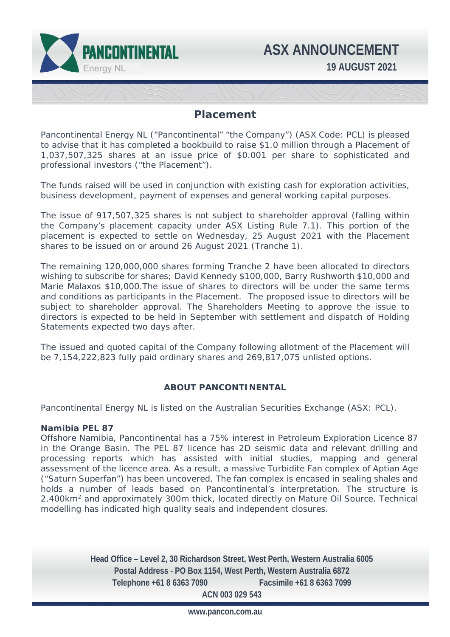

# **Placement**

Pancontinental Energy NL ("Pancontinental" "the Company") (ASX Code: PCL) is pleased to advise that it has completed a bookbuild to raise \$1.0 million through a Placement of 1,037,507,325 shares at an issue price of \$0.001 per share to sophisticated and professional investors ("the Placement").

The funds raised will be used in conjunction with existing cash for exploration activities, business development, payment of expenses and general working capital purposes.

The issue of 917,507,325 shares is not subject to shareholder approval (falling within the Company's placement capacity under ASX Listing Rule 7.1). This portion of the placement is expected to settle on Wednesday, 25 August 2021 with the Placement shares to be issued on or around 26 August 2021 (Tranche 1).

The remaining 120,000,000 shares forming Tranche 2 have been allocated to directors wishing to subscribe for shares; David Kennedy \$100,000, Barry Rushworth \$10,000 and Marie Malaxos \$10,000.The issue of shares to directors will be under the same terms and conditions as participants in the Placement. The proposed issue to directors will be subject to shareholder approval. The Shareholders Meeting to approve the issue to directors is expected to be held in September with settlement and dispatch of Holding Statements expected two days after.

The issued and quoted capital of the Company following allotment of the Placement will be 7,154,222,823 fully paid ordinary shares and 269,817,075 unlisted options.

# **ABOUT PANCONTINENTAL**

Pancontinental Energy NL is listed on the Australian Securities Exchange (ASX: PCL).

### **Namibia PEL 87**

Offshore Namibia, Pancontinental has a 75% interest in Petroleum Exploration Licence 87 in the Orange Basin. The PEL 87 licence has 2D seismic data and relevant drilling and processing reports which has assisted with initial studies, mapping and general assessment of the licence area. As a result, a massive Turbidite Fan complex of Aptian Age ("Saturn Superfan") has been uncovered. The fan complex is encased in sealing shales and holds a number of leads based on Pancontinental's interpretation. The structure is 2,400km2 and approximately 300m thick, located directly on Mature Oil Source. Technical modelling has indicated high quality seals and independent closures.

> **Head Office – Level 2, 30 Richardson Street, West Perth, Western Australia 6005 Postal Address - PO Box 1154, West Perth, Western Australia 6872 Telephone +61 8 6363 7090 Facsimile +61 8 6363 7099 ACN 003 029 543**

> > **www.pancon.com.au**